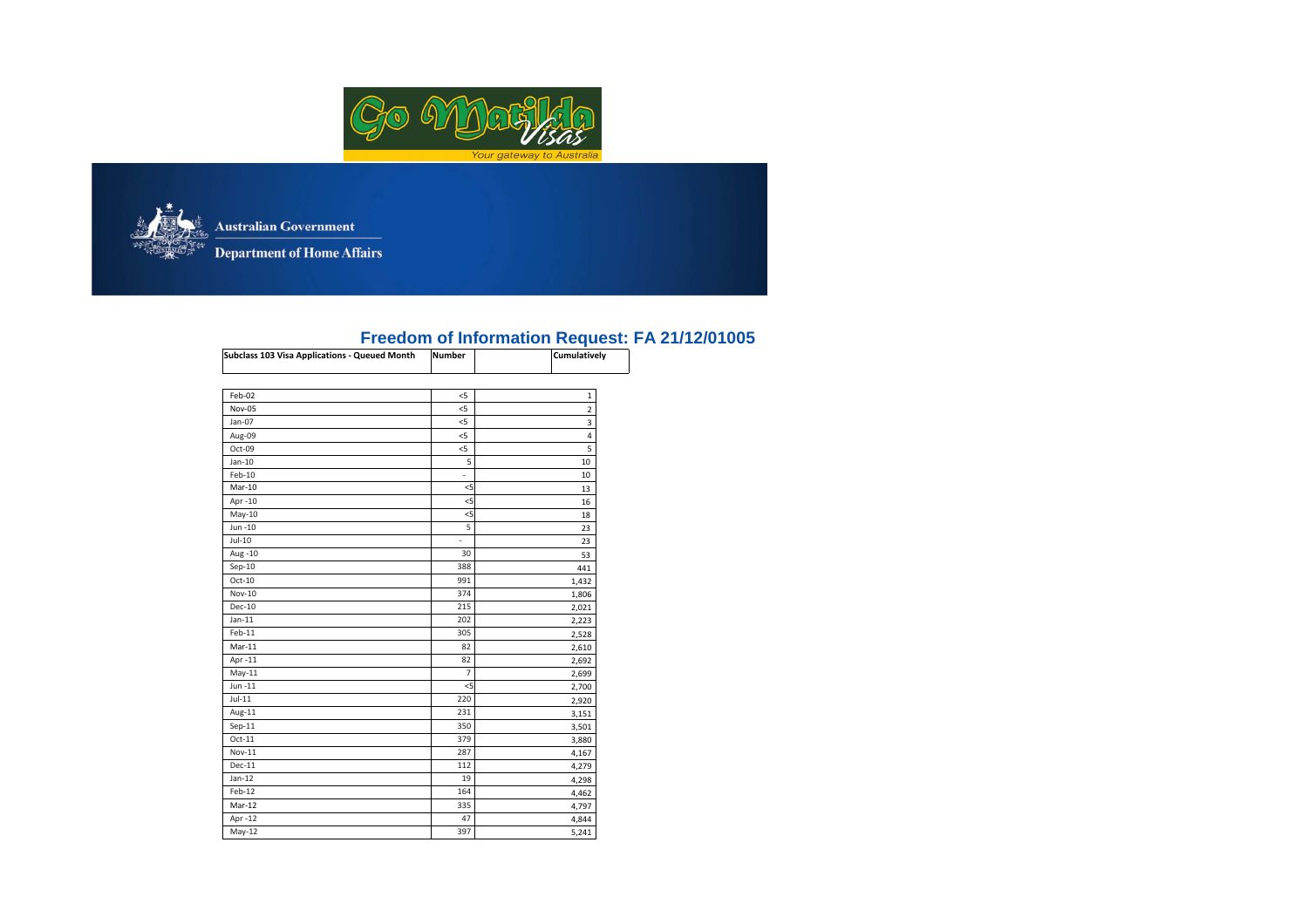



**Australian Government** 

Department of Home Affairs

## **NumberFreedom of Information Request: FA 21/12/01005 Subclass 103 Visa Applications - Queued Month Cumulatively**

| Subclass 103 Visa Applications - Queued Month | number         | Cumulatively |
|-----------------------------------------------|----------------|--------------|
| Feb-02                                        | $<$ 5          | 1            |
| Nov-05                                        | $<$ 5          | 2            |
| Jan-07                                        | $<$ 5          | 3            |
| Aug-09                                        | $<$ 5          | 4            |
| Oct-09                                        | $<$ 5          | 5            |
| $Jan-10$                                      | 5              | 10           |
| $Feb-10$                                      | ÷              | 10           |
| Mar-10                                        | $<$ 5          | 13           |
| Apr -10                                       | $5$            | 16           |
| $May-10$                                      | $<$ 5          | 18           |
| Jun -10                                       | 5              | 23           |
| $Jul-10$                                      | L.             | 23           |
| Aug -10                                       | 30             | 53           |
| $Sep-10$                                      | 388            | 441          |
| $Oct-10$                                      | 991            | 1,432        |
| Nov-10                                        | 374            | 1,806        |
| Dec-10                                        | 215            | 2,021        |
| $Jan-11$                                      | 202            | 2,223        |
| Feb-11                                        | 305            | 2,528        |
| $Mar-11$                                      | 82             | 2,610        |
| Apr -11                                       | 82             | 2,692        |
| $May-11$                                      | $\overline{7}$ | 2,699        |
| Jun-11                                        | 5              | 2,700        |
| $Jul-11$                                      | 220            | 2,920        |
| Aug-11                                        | 231            | 3,151        |
| $Sep-11$                                      | 350            | 3,501        |
| $Oct-11$                                      | 379            | 3,880        |
| Nov-11                                        | 287            | 4,167        |
| $Dec-11$                                      | 112            | 4,279        |
| $Jan-12$                                      | 19             | 4,298        |
| Feb-12                                        | 164            | 4,462        |
| $Mar-12$                                      | 335            | 4,797        |
| Apr -12                                       | 47             | 4,844        |
| $May-12$                                      | 397            | 5,241        |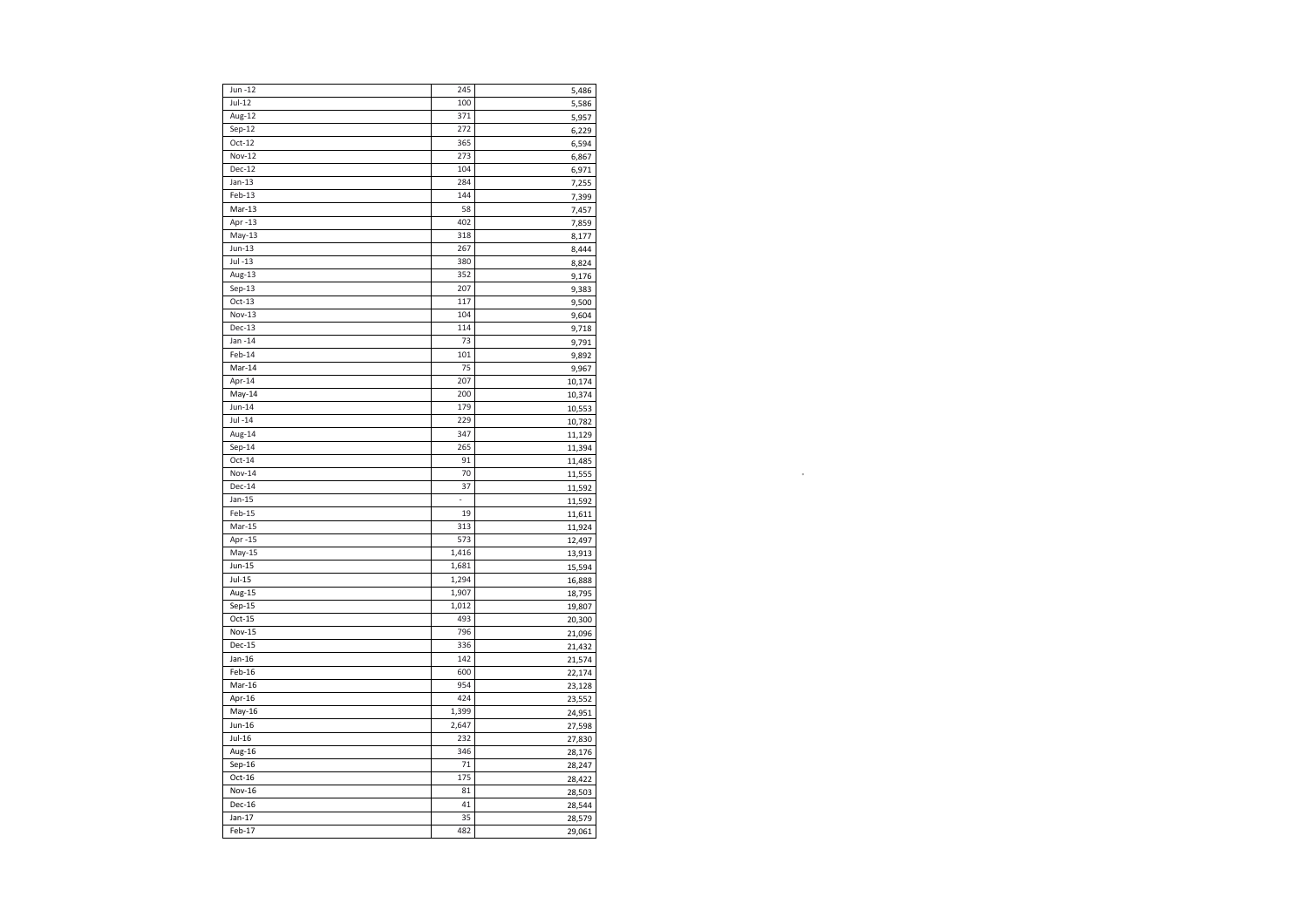| Jun -12       | 245   | 5,486  |
|---------------|-------|--------|
| $Jul-12$      | 100   | 5,586  |
| Aug-12        | 371   | 5,957  |
| $Sep-12$      | 272   | 6,229  |
| $Oct-12$      | 365   | 6,594  |
| <b>Nov-12</b> | 273   | 6,867  |
| Dec-12        | 104   | 6,971  |
| $Jan-13$      | 284   | 7,255  |
| $Feb-13$      | 144   | 7,399  |
| $Mar-13$      | 58    |        |
|               | 402   | 7,457  |
| Apr -13       |       | 7,859  |
| $May-13$      | 318   | 8,177  |
| $Jun-13$      | 267   | 8,444  |
| Jul -13       | 380   | 8,824  |
| Aug-13        | 352   | 9,176  |
| $Sep-13$      | 207   | 9,383  |
| $Oct-13$      | 117   | 9,500  |
| <b>Nov-13</b> | 104   | 9,604  |
| Dec-13        | 114   | 9,718  |
| Jan -14       | 73    | 9,791  |
| Feb-14        | 101   | 9,892  |
| Mar-14        | 75    | 9,967  |
| Apr-14        | 207   | 10,174 |
| $May-14$      | 200   | 10,374 |
| $Jun-14$      | 179   | 10,553 |
| $Jul -14$     | 229   | 10,782 |
| Aug-14        | 347   | 11,129 |
| $Sep-14$      | 265   | 11,394 |
| $Oct-14$      | 91    | 11,485 |
| <b>Nov-14</b> | 70    | 11,555 |
| $Dec-14$      | 37    | 11,592 |
| $Jan-15$      | L.    | 11,592 |
| Feb-15        | 19    | 11,611 |
| $Mar-15$      | 313   | 11,924 |
| Apr -15       | 573   | 12,497 |
| $May-15$      | 1,416 |        |
| Jun-15        | 1,681 | 13,913 |
| $Jul-15$      | 1,294 | 15,594 |
|               |       | 16,888 |
| Aug-15        | 1,907 | 18,795 |
| Sep-15        | 1,012 | 19,807 |
| $Oct-15$      | 493   | 20,300 |
| <b>Nov-15</b> | 796   | 21,096 |
| Dec-15        | 336   | 21,432 |
| $Jan-16$      | 142   | 21,574 |
| Feb-16        | 600   | 22,174 |
| Mar-16        | 954   | 23,128 |
| Apr-16        | 424   | 23,552 |
| $May-16$      | 1,399 | 24,951 |
| Jun-16        | 2,647 | 27,598 |
| Jul-16        | 232   | 27,830 |
| Aug-16        | 346   | 28,176 |
| Sep-16        | 71    | 28,247 |
| $Oct-16$      | 175   | 28,422 |
| <b>Nov-16</b> | 81    | 28,503 |
| Dec-16        | 41    | 28,544 |
| Jan-17        | 35    | 28,579 |
| $Feb-17$      | 482   | 29,061 |
|               |       |        |

**.**